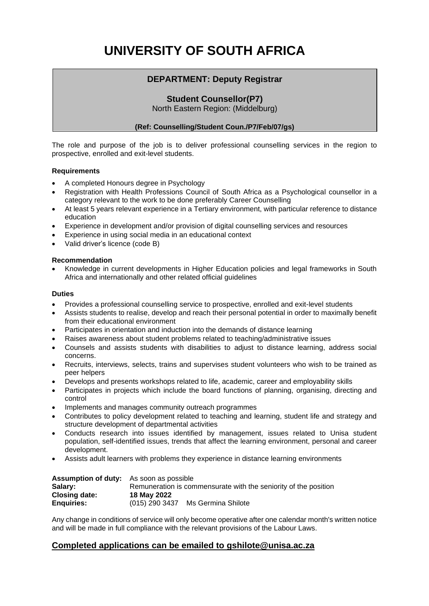# **UNIVERSITY OF SOUTH AFRICA**

## **DEPARTMENT: Deputy Registrar**

## **Student Counsellor(P7)**

North Eastern Region: (Middelburg)

#### **(Ref: Counselling/Student Coun./P7/Feb/07/gs)**

The role and purpose of the job is to deliver professional counselling services in the region to prospective, enrolled and exit-level students.

#### **Requirements**

- A completed Honours degree in Psychology
- Registration with Health Professions Council of South Africa as a Psychological counsellor in a category relevant to the work to be done preferably Career Counselling
- At least 5 years relevant experience in a Tertiary environment, with particular reference to distance education
- Experience in development and/or provision of digital counselling services and resources
- Experience in using social media in an educational context
- Valid driver's licence (code B)

#### **Recommendation**

• Knowledge in current developments in Higher Education policies and legal frameworks in South Africa and internationally and other related official guidelines

#### **Duties**

- Provides a professional counselling service to prospective, enrolled and exit-level students
- Assists students to realise, develop and reach their personal potential in order to maximally benefit from their educational environment
- Participates in orientation and induction into the demands of distance learning
- Raises awareness about student problems related to teaching/administrative issues
- Counsels and assists students with disabilities to adjust to distance learning, address social concerns.
- Recruits, interviews, selects, trains and supervises student volunteers who wish to be trained as peer helpers
- Develops and presents workshops related to life, academic, career and employability skills
- Participates in projects which include the board functions of planning, organising, directing and control
- Implements and manages community outreach programmes
- Contributes to policy development related to teaching and learning, student life and strategy and structure development of departmental activities
- Conducts research into issues identified by management, issues related to Unisa student population, self-identified issues, trends that affect the learning environment, personal and career development.
- Assists adult learners with problems they experience in distance learning environments

| <b>Assumption of duty:</b> As soon as possible |                                                                 |                    |
|------------------------------------------------|-----------------------------------------------------------------|--------------------|
| Salary:                                        | Remuneration is commensurate with the seniority of the position |                    |
| Closing date:                                  | 18 May 2022                                                     |                    |
| <b>Enquiries:</b>                              | (015) 290 3437                                                  | Ms Germina Shilote |

Any change in conditions of service will only become operative after one calendar month's written notice and will be made in full compliance with the relevant provisions of the Labour Laws.

### **Completed applications can be emailed to gshilote@unisa.ac.za**